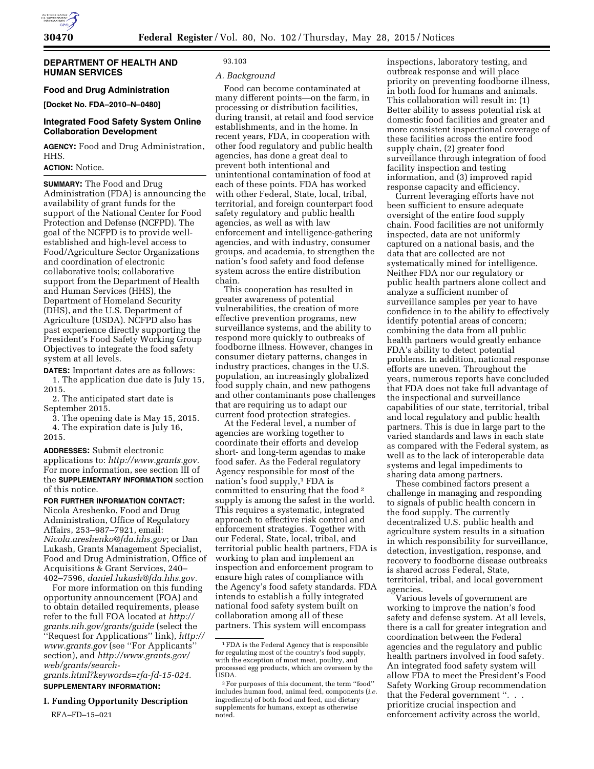

### **DEPARTMENT OF HEALTH AND HUMAN SERVICES**

**Food and Drug Administration [Docket No. FDA–2010–N–0480]** 

## **Integrated Food Safety System Online Collaboration Development**

**AGENCY:** Food and Drug Administration, HHS.

# **ACTION:** Notice.

**SUMMARY:** The Food and Drug Administration (FDA) is announcing the availability of grant funds for the support of the National Center for Food Protection and Defense (NCFPD). The goal of the NCFPD is to provide wellestablished and high-level access to Food/Agriculture Sector Organizations and coordination of electronic collaborative tools; collaborative support from the Department of Health and Human Services (HHS), the Department of Homeland Security (DHS), and the U.S. Department of Agriculture (USDA). NCFPD also has past experience directly supporting the President's Food Safety Working Group Objectives to integrate the food safety system at all levels.

**DATES:** Important dates are as follows: 1. The application due date is July 15, 2015.

2. The anticipated start date is September 2015.

3. The opening date is May 15, 2015. 4. The expiration date is July 16, 2015.

**ADDRESSES:** Submit electronic applications to: *[http://www.grants.gov.](http://www.grants.gov)*  For more information, see section III of the **SUPPLEMENTARY INFORMATION** section of this notice.

**FOR FURTHER INFORMATION CONTACT:**  Nicola Areshenko, Food and Drug Administration, Office of Regulatory Affairs, 253–987–7921, email: *[Nicola.areshenko@fda.hhs.gov](mailto:Nicola.areshenko@fda.hhs.gov)*; or Dan Lukash, Grants Management Specialist, Food and Drug Administration, Office of Acquisitions & Grant Services, 240– 402–7596, *[daniel.lukash@fda.hhs.gov.](mailto:daniel.lukash@fda.hhs.gov)* 

For more information on this funding opportunity announcement (FOA) and to obtain detailed requirements, please refer to the full FOA located at *[http://](http://grants.nih.gov/grants/guide) [grants.nih.gov/grants/guide](http://grants.nih.gov/grants/guide)* (select the ''Request for Applications'' link), *[http://](http://www.grants.gov)  [www.grants.gov](http://www.grants.gov)* (see ''For Applicants'' section), and *[http://www.grants.gov/](http://www.grants.gov/web/grants/search-grants.html?keywords=rfa-fd-15-024) [web/grants/search-](http://www.grants.gov/web/grants/search-grants.html?keywords=rfa-fd-15-024)*

*[grants.html?keywords=rfa-fd-15-024.](http://www.grants.gov/web/grants/search-grants.html?keywords=rfa-fd-15-024)*  **SUPPLEMENTARY INFORMATION:** 

# **I. Funding Opportunity Description**

RFA–FD–15–021

# 93.103

### *A. Background*

Food can become contaminated at many different points—on the farm, in processing or distribution facilities, during transit, at retail and food service establishments, and in the home. In recent years, FDA, in cooperation with other food regulatory and public health agencies, has done a great deal to prevent both intentional and unintentional contamination of food at each of these points. FDA has worked with other Federal, State, local, tribal, territorial, and foreign counterpart food safety regulatory and public health agencies, as well as with law enforcement and intelligence-gathering agencies, and with industry, consumer groups, and academia, to strengthen the nation's food safety and food defense system across the entire distribution chain.

This cooperation has resulted in greater awareness of potential vulnerabilities, the creation of more effective prevention programs, new surveillance systems, and the ability to respond more quickly to outbreaks of foodborne illness. However, changes in consumer dietary patterns, changes in industry practices, changes in the U.S. population, an increasingly globalized food supply chain, and new pathogens and other contaminants pose challenges that are requiring us to adapt our current food protection strategies.

At the Federal level, a number of agencies are working together to coordinate their efforts and develop short- and long-term agendas to make food safer. As the Federal regulatory Agency responsible for most of the nation's food supply,<sup>1</sup> FDA is committed to ensuring that the food 2 supply is among the safest in the world. This requires a systematic, integrated approach to effective risk control and enforcement strategies. Together with our Federal, State, local, tribal, and territorial public health partners, FDA is working to plan and implement an inspection and enforcement program to ensure high rates of compliance with the Agency's food safety standards. FDA intends to establish a fully integrated national food safety system built on collaboration among all of these partners. This system will encompass

inspections, laboratory testing, and outbreak response and will place priority on preventing foodborne illness, in both food for humans and animals. This collaboration will result in: (1) Better ability to assess potential risk at domestic food facilities and greater and more consistent inspectional coverage of these facilities across the entire food supply chain, (2) greater food surveillance through integration of food facility inspection and testing information, and (3) improved rapid response capacity and efficiency.

Current leveraging efforts have not been sufficient to ensure adequate oversight of the entire food supply chain. Food facilities are not uniformly inspected, data are not uniformly captured on a national basis, and the data that are collected are not systematically mined for intelligence. Neither FDA nor our regulatory or public health partners alone collect and analyze a sufficient number of surveillance samples per year to have confidence in to the ability to effectively identify potential areas of concern; combining the data from all public health partners would greatly enhance FDA's ability to detect potential problems. In addition, national response efforts are uneven. Throughout the years, numerous reports have concluded that FDA does not take full advantage of the inspectional and surveillance capabilities of our state, territorial, tribal and local regulatory and public health partners. This is due in large part to the varied standards and laws in each state as compared with the Federal system, as well as to the lack of interoperable data systems and legal impediments to sharing data among partners.

These combined factors present a challenge in managing and responding to signals of public health concern in the food supply. The currently decentralized U.S. public health and agriculture system results in a situation in which responsibility for surveillance, detection, investigation, response, and recovery to foodborne disease outbreaks is shared across Federal, State, territorial, tribal, and local government agencies.

Various levels of government are working to improve the nation's food safety and defense system. At all levels, there is a call for greater integration and coordination between the Federal agencies and the regulatory and public health partners involved in food safety. An integrated food safety system will allow FDA to meet the President's Food Safety Working Group recommendation that the Federal government ''. . . prioritize crucial inspection and enforcement activity across the world,

<sup>1</sup>FDA is the Federal Agency that is responsible for regulating most of the country's food supply, with the exception of most meat, poultry, and processed egg products, which are overseen by the USDA.

<sup>2</sup>For purposes of this document, the term ''food'' includes human food, animal feed, components (*i.e.*  ingredients) of both food and feed, and dietary supplements for humans, except as otherwise noted.